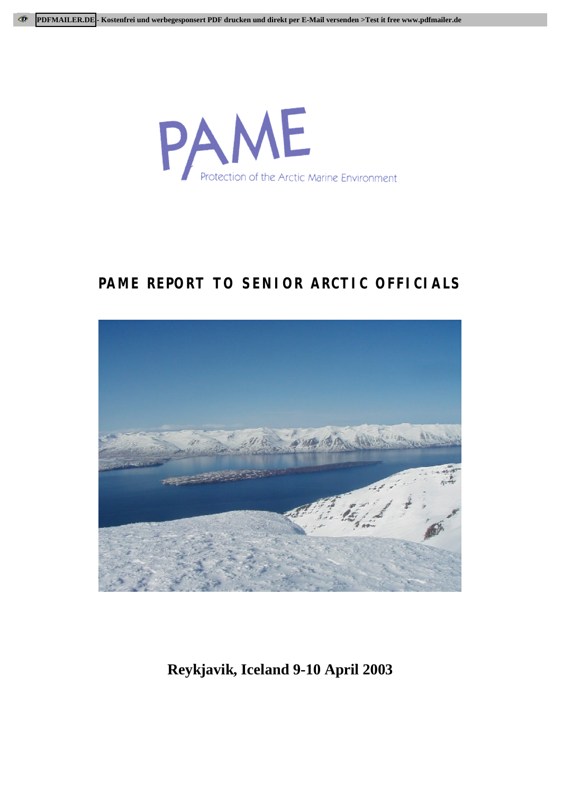

# **PAME REPORT TO SENIOR ARCTIC OFFICIALS**



**Reykjavik, Iceland 9-10 April 2003**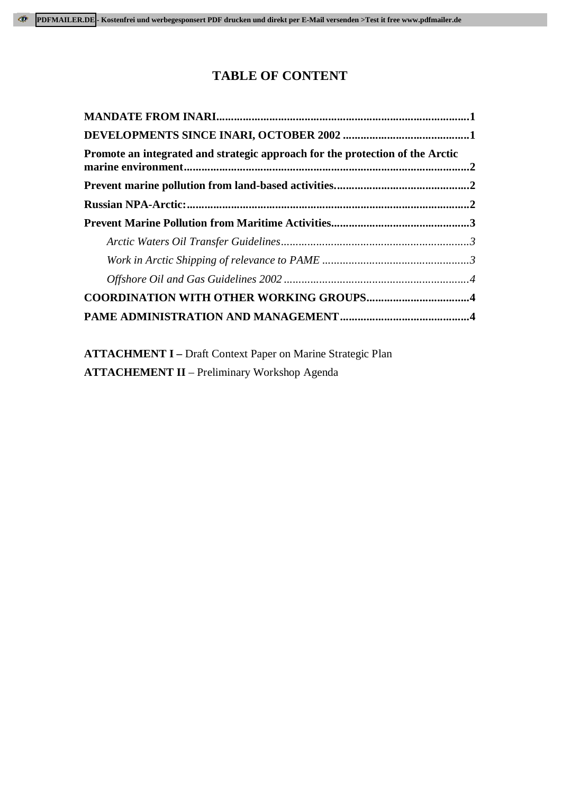# **TABLE OF CONTENT**

| Promote an integrated and strategic approach for the protection of the Arctic |  |
|-------------------------------------------------------------------------------|--|
|                                                                               |  |
|                                                                               |  |
|                                                                               |  |
|                                                                               |  |
|                                                                               |  |
|                                                                               |  |
| <b>COORDINATION WITH OTHER WORKING GROUPS4</b>                                |  |
|                                                                               |  |

**ATTACHMENT I –** Draft Context Paper on Marine Strategic Plan **ATTACHEMENT II** – Preliminary Workshop Agenda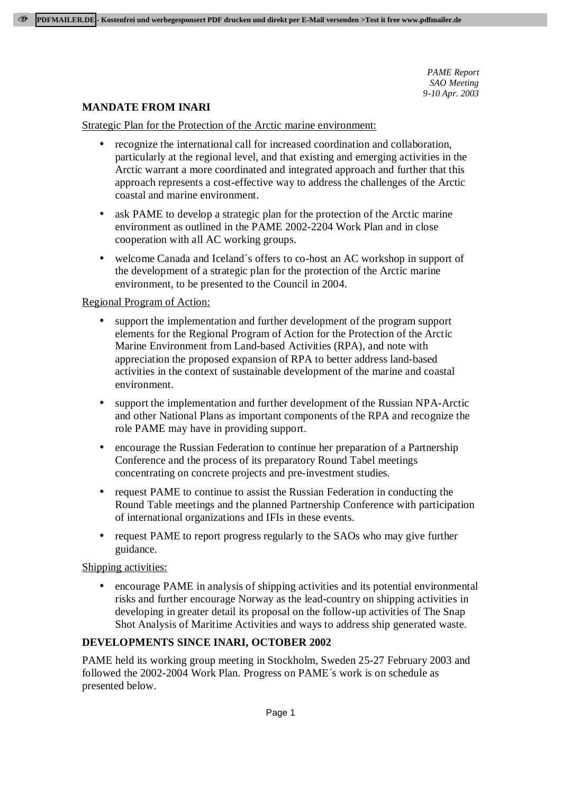## **MANDATE FROM INARI**

Strategic Plan for the Protection of the Arctic marine environment:

- recognize the international call for increased coordination and collaboration, particularly at the regional level, and that existing and emerging activities in the Arctic warrant a more coordinated and integrated approach and further that this approach represents a cost-effective way to address the challenges of the Arctic coastal and marine environment.
- ask PAME to develop a strategic plan for the protection of the Arctic marine environment as outlined in the PAME 2002-2204 Work Plan and in close cooperation with all AC working groups.
- welcome Canada and Iceland´s offers to co-host an AC workshop in support of the development of a strategic plan for the protection of the Arctic marine environment, to be presented to the Council in 2004.

### Regional Program of Action:

- support the implementation and further development of the program support elements for the Regional Program of Action for the Protection of the Arctic Marine Environment from Land-based Activities (RPA), and note with appreciation the proposed expansion of RPA to better address land-based activities in the context of sustainable development of the marine and coastal environment.
- support the implementation and further development of the Russian NPA-Arctic and other National Plans as important components of the RPA and recognize the role PAME may have in providing support.
- encourage the Russian Federation to continue her preparation of a Partnership Conference and the process of its preparatory Round Tabel meetings concentrating on concrete projects and pre-investment studies.
- request PAME to continue to assist the Russian Federation in conducting the Round Table meetings and the planned Partnership Conference with participation of international organizations and IFIs in these events.
- request PAME to report progress regularly to the SAOs who may give further guidance.

## Shipping activities:

• encourage PAME in analysis of shipping activities and its potential environmental risks and further encourage Norway as the lead-country on shipping activities in developing in greater detail its proposal on the follow-up activities of The Snap Shot Analysis of Maritime Activities and ways to address ship generated waste.

### **DEVELOPMENTS SINCE INARI, OCTOBER 2002**

PAME held its working group meeting in Stockholm, Sweden 25-27 February 2003 and followed the 2002-2004 Work Plan. Progress on PAME´s work is on schedule as presented below.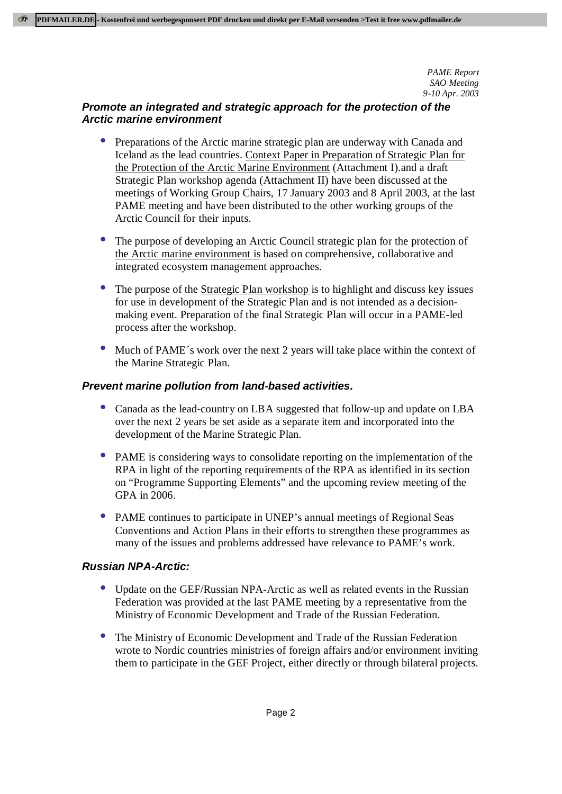# **Promote an integrated and strategic approach for the protection of the Arctic marine environment**

- Preparations of the Arctic marine strategic plan are underway with Canada and Iceland as the lead countries. Context Paper in Preparation of Strategic Plan for the Protection of the Arctic Marine Environment (Attachment I).and a draft Strategic Plan workshop agenda (Attachment II) have been discussed at the meetings of Working Group Chairs, 17 January 2003 and 8 April 2003, at the last PAME meeting and have been distributed to the other working groups of the Arctic Council for their inputs.
- The purpose of developing an Arctic Council strategic plan for the protection of the Arctic marine environment is based on comprehensive, collaborative and integrated ecosystem management approaches.
- The purpose of the Strategic Plan workshop is to highlight and discuss key issues for use in development of the Strategic Plan and is not intended as a decisionmaking event. Preparation of the final Strategic Plan will occur in a PAME-led process after the workshop.
- Much of PAME's work over the next 2 years will take place within the context of the Marine Strategic Plan.

# **Prevent marine pollution from land-based activities.**

- Canada as the lead-country on LBA suggested that follow-up and update on LBA over the next 2 years be set aside as a separate item and incorporated into the development of the Marine Strategic Plan.
- PAME is considering ways to consolidate reporting on the implementation of the RPA in light of the reporting requirements of the RPA as identified in its section on "Programme Supporting Elements" and the upcoming review meeting of the GPA in 2006.
- PAME continues to participate in UNEP's annual meetings of Regional Seas Conventions and Action Plans in their efforts to strengthen these programmes as many of the issues and problems addressed have relevance to PAME's work.

## **Russian NPA-Arctic:**

- Update on the GEF/Russian NPA-Arctic as well as related events in the Russian Federation was provided at the last PAME meeting by a representative from the Ministry of Economic Development and Trade of the Russian Federation.
- The Ministry of Economic Development and Trade of the Russian Federation wrote to Nordic countries ministries of foreign affairs and/or environment inviting them to participate in the GEF Project, either directly or through bilateral projects.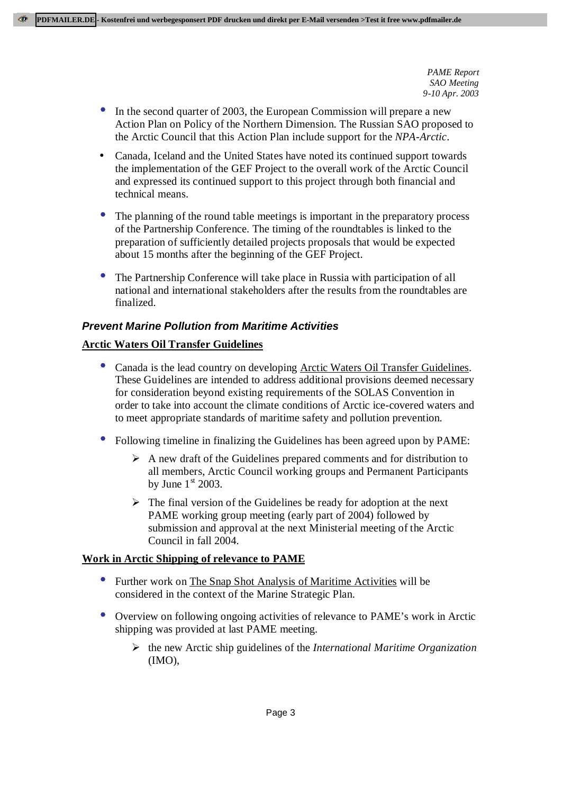- In the second quarter of 2003, the European Commission will prepare a new Action Plan on Policy of the Northern Dimension. The Russian SAO proposed to the Arctic Council that this Action Plan include support for the *NPA-Arctic*.
- Canada, Iceland and the United States have noted its continued support towards the implementation of the GEF Project to the overall work of the Arctic Council and expressed its continued support to this project through both financial and technical means.
- The planning of the round table meetings is important in the preparatory process of the Partnership Conference. The timing of the roundtables is linked to the preparation of sufficiently detailed projects proposals that would be expected about 15 months after the beginning of the GEF Project.
- The Partnership Conference will take place in Russia with participation of all national and international stakeholders after the results from the roundtables are finalized.

### **Prevent Marine Pollution from Maritime Activities**

### **Arctic Waters Oil Transfer Guidelines**

- Canada is the lead country on developing Arctic Waters Oil Transfer Guidelines. These Guidelines are intended to address additional provisions deemed necessary for consideration beyond existing requirements of the SOLAS Convention in order to take into account the climate conditions of Arctic ice-covered waters and to meet appropriate standards of maritime safety and pollution prevention.
- Following timeline in finalizing the Guidelines has been agreed upon by PAME:
	- $\triangleright$  A new draft of the Guidelines prepared comments and for distribution to all members, Arctic Council working groups and Permanent Participants by June  $1<sup>st</sup>$  2003.
	- $\triangleright$  The final version of the Guidelines be ready for adoption at the next PAME working group meeting (early part of 2004) followed by submission and approval at the next Ministerial meeting of the Arctic Council in fall 2004.

#### **Work in Arctic Shipping of relevance to PAME**

- Further work on The Snap Shot Analysis of Maritime Activities will be considered in the context of the Marine Strategic Plan.
- Overview on following ongoing activities of relevance to PAME's work in Arctic shipping was provided at last PAME meeting.
	- ÿ the new Arctic ship guidelines of the *International Maritime Organization* (IMO),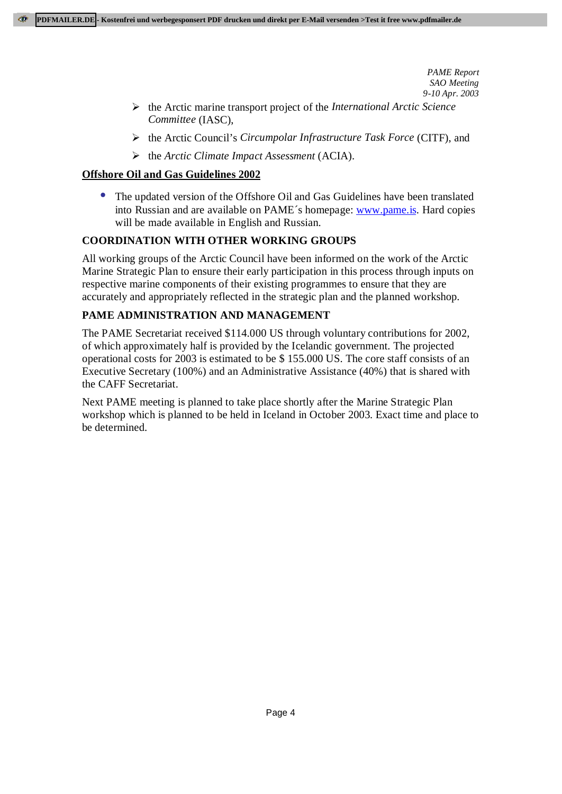- ÿ the Arctic marine transport project of the *International Arctic Science Committee* (IASC),
- ÿ the Arctic Council's *Circumpolar Infrastructure Task Force* (CITF), and
- ÿ the *Arctic Climate Impact Assessment* (ACIA).

## **Offshore Oil and Gas Guidelines 2002**

• The updated version of the Offshore Oil and Gas Guidelines have been translated into Russian and are available on PAME´s homepage: www.pame.is. Hard copies will be made available in English and Russian.

# **COORDINATION WITH OTHER WORKING GROUPS**

All working groups of the Arctic Council have been informed on the work of the Arctic Marine Strategic Plan to ensure their early participation in this process through inputs on respective marine components of their existing programmes to ensure that they are accurately and appropriately reflected in the strategic plan and the planned workshop.

# **PAME ADMINISTRATION AND MANAGEMENT**

The PAME Secretariat received \$114.000 US through voluntary contributions for 2002, of which approximately half is provided by the Icelandic government. The projected operational costs for 2003 is estimated to be \$ 155.000 US. The core staff consists of an Executive Secretary (100%) and an Administrative Assistance (40%) that is shared with the CAFF Secretariat.

Next PAME meeting is planned to take place shortly after the Marine Strategic Plan workshop which is planned to be held in Iceland in October 2003. Exact time and place to be determined.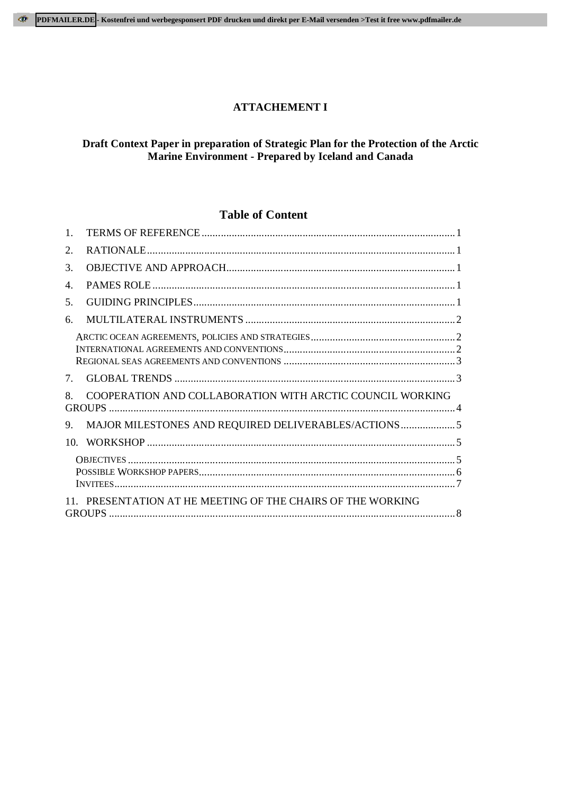### **ATTACHEMENT I**

### **Draft Context Paper in preparation of Strategic Plan for the Protection of the Arctic Marine Environment - Prepared by Iceland and Canada**

### **Table of Content**

| $\mathbf{1}$ . |                                                             |  |
|----------------|-------------------------------------------------------------|--|
| 2.             |                                                             |  |
| 3.             |                                                             |  |
| 4.             |                                                             |  |
| .5.            |                                                             |  |
| б.             |                                                             |  |
|                |                                                             |  |
| 7.             |                                                             |  |
| 8              | COOPERATION AND COLLABORATION WITH ARCTIC COUNCIL WORKING   |  |
| 9.             |                                                             |  |
|                |                                                             |  |
|                |                                                             |  |
|                |                                                             |  |
|                | 11. PRESENTATION AT HE MEETING OF THE CHAIRS OF THE WORKING |  |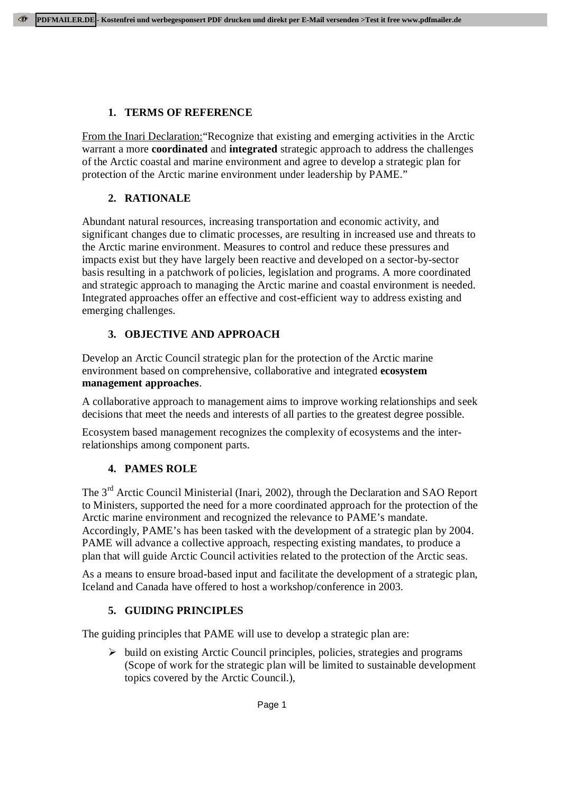### **1. TERMS OF REFERENCE**

From the Inari Declaration: "Recognize that existing and emerging activities in the Arctic warrant a more **coordinated** and **integrated** strategic approach to address the challenges of the Arctic coastal and marine environment and agree to develop a strategic plan for protection of the Arctic marine environment under leadership by PAME."

# **2. RATIONALE**

Abundant natural resources, increasing transportation and economic activity, and significant changes due to climatic processes, are resulting in increased use and threats to the Arctic marine environment. Measures to control and reduce these pressures and impacts exist but they have largely been reactive and developed on a sector-by-sector basis resulting in a patchwork of policies, legislation and programs. A more coordinated and strategic approach to managing the Arctic marine and coastal environment is needed. Integrated approaches offer an effective and cost-efficient way to address existing and emerging challenges.

### **3. OBJECTIVE AND APPROACH**

Develop an Arctic Council strategic plan for the protection of the Arctic marine environment based on comprehensive, collaborative and integrated **ecosystem management approaches**.

A collaborative approach to management aims to improve working relationships and seek decisions that meet the needs and interests of all parties to the greatest degree possible.

Ecosystem based management recognizes the complexity of ecosystems and the interrelationships among component parts.

## **4. PAMES ROLE**

The 3<sup>rd</sup> Arctic Council Ministerial (Inari, 2002), through the Declaration and SAO Report to Ministers, supported the need for a more coordinated approach for the protection of the Arctic marine environment and recognized the relevance to PAME's mandate. Accordingly, PAME's has been tasked with the development of a strategic plan by 2004. PAME will advance a collective approach, respecting existing mandates, to produce a plan that will guide Arctic Council activities related to the protection of the Arctic seas.

As a means to ensure broad-based input and facilitate the development of a strategic plan, Iceland and Canada have offered to host a workshop/conference in 2003.

## **5. GUIDING PRINCIPLES**

The guiding principles that PAME will use to develop a strategic plan are:

 $\triangleright$  build on existing Arctic Council principles, policies, strategies and programs (Scope of work for the strategic plan will be limited to sustainable development topics covered by the Arctic Council.),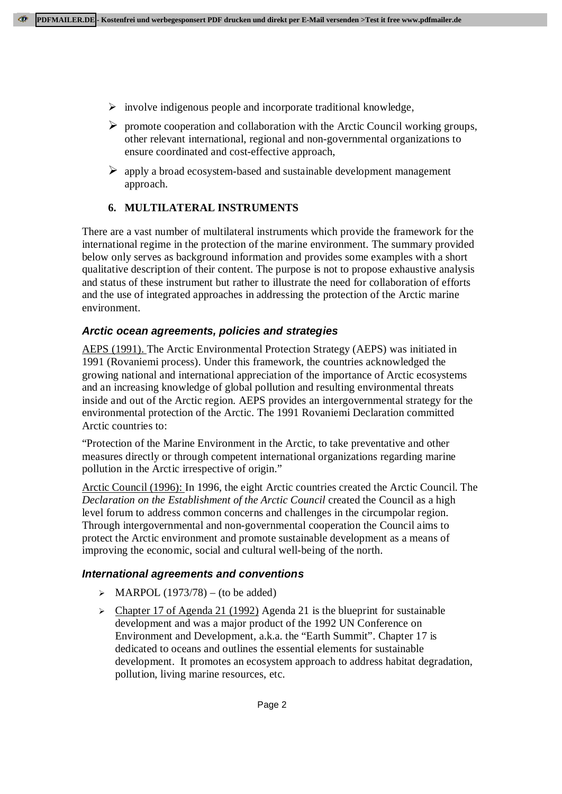- $\triangleright$  involve indigenous people and incorporate traditional knowledge,
- $\triangleright$  promote cooperation and collaboration with the Arctic Council working groups, other relevant international, regional and non-governmental organizations to ensure coordinated and cost-effective approach,
- $\triangleright$  apply a broad ecosystem-based and sustainable development management approach.

# **6. MULTILATERAL INSTRUMENTS**

There are a vast number of multilateral instruments which provide the framework for the international regime in the protection of the marine environment. The summary provided below only serves as background information and provides some examples with a short qualitative description of their content. The purpose is not to propose exhaustive analysis and status of these instrument but rather to illustrate the need for collaboration of efforts and the use of integrated approaches in addressing the protection of the Arctic marine environment.

# **Arctic ocean agreements, policies and strategies**

AEPS (1991). The Arctic Environmental Protection Strategy (AEPS) was initiated in 1991 (Rovaniemi process). Under this framework, the countries acknowledged the growing national and international appreciation of the importance of Arctic ecosystems and an increasing knowledge of global pollution and resulting environmental threats inside and out of the Arctic region. AEPS provides an intergovernmental strategy for the environmental protection of the Arctic. The 1991 Rovaniemi Declaration committed Arctic countries to:

"Protection of the Marine Environment in the Arctic, to take preventative and other measures directly or through competent international organizations regarding marine pollution in the Arctic irrespective of origin."

Arctic Council (1996): In 1996, the eight Arctic countries created the Arctic Council. The *Declaration on the Establishment of the Arctic Council* created the Council as a high level forum to address common concerns and challenges in the circumpolar region. Through intergovernmental and non-governmental cooperation the Council aims to protect the Arctic environment and promote sustainable development as a means of improving the economic, social and cultural well-being of the north.

## **International agreements and conventions**

- $\triangleright$  MARPOL (1973/78) (to be added)
- $\triangleright$  Chapter 17 of Agenda 21 (1992) Agenda 21 is the blueprint for sustainable development and was a major product of the 1992 UN Conference on Environment and Development, a.k.a. the "Earth Summit". Chapter 17 is dedicated to oceans and outlines the essential elements for sustainable development. It promotes an ecosystem approach to address habitat degradation, pollution, living marine resources, etc.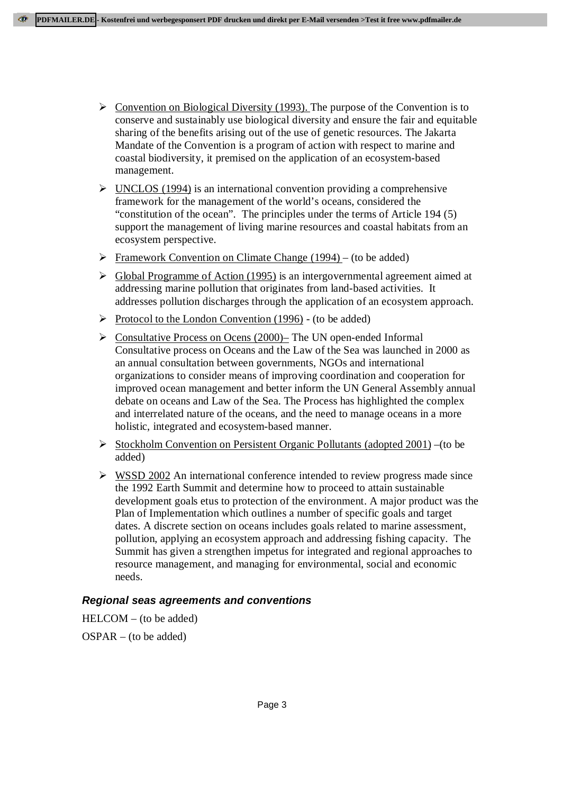- $\triangleright$  Convention on Biological Diversity (1993). The purpose of the Convention is to conserve and sustainably use biological diversity and ensure the fair and equitable sharing of the benefits arising out of the use of genetic resources. The Jakarta Mandate of the Convention is a program of action with respect to marine and coastal biodiversity, it premised on the application of an ecosystem-based management.
- $\triangleright$  UNCLOS (1994) is an international convention providing a comprehensive framework for the management of the world's oceans, considered the "constitution of the ocean". The principles under the terms of Article 194 (5) support the management of living marine resources and coastal habitats from an ecosystem perspective.
- $\triangleright$  Framework Convention on Climate Change (1994) (to be added)
- $\triangleright$  Global Programme of Action (1995) is an intergovernmental agreement aimed at addressing marine pollution that originates from land-based activities. It addresses pollution discharges through the application of an ecosystem approach.
- $\triangleright$  Protocol to the London Convention (1996) (to be added)
- $\triangleright$  Consultative Process on Ocens (2000)– The UN open-ended Informal Consultative process on Oceans and the Law of the Sea was launched in 2000 as an annual consultation between governments, NGOs and international organizations to consider means of improving coordination and cooperation for improved ocean management and better inform the UN General Assembly annual debate on oceans and Law of the Sea. The Process has highlighted the complex and interrelated nature of the oceans, and the need to manage oceans in a more holistic, integrated and ecosystem-based manner.
- $\triangleright$  Stockholm Convention on Persistent Organic Pollutants (adopted 2001) –(to be added)
- $\triangleright$  WSSD 2002 An international conference intended to review progress made since the 1992 Earth Summit and determine how to proceed to attain sustainable development goals etus to protection of the environment. A major product was the Plan of Implementation which outlines a number of specific goals and target dates. A discrete section on oceans includes goals related to marine assessment, pollution, applying an ecosystem approach and addressing fishing capacity. The Summit has given a strengthen impetus for integrated and regional approaches to resource management, and managing for environmental, social and economic needs.

## **Regional seas agreements and conventions**

HELCOM – (to be added) OSPAR – (to be added)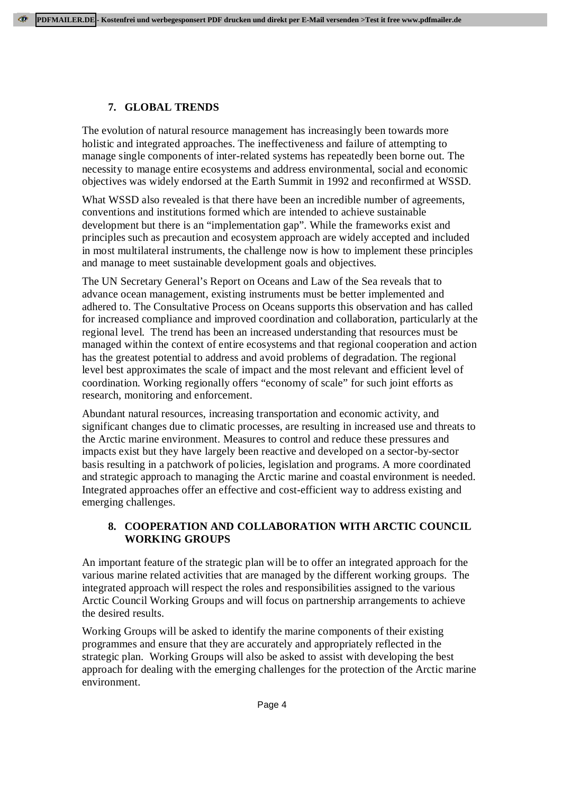### **7. GLOBAL TRENDS**

The evolution of natural resource management has increasingly been towards more holistic and integrated approaches. The ineffectiveness and failure of attempting to manage single components of inter-related systems has repeatedly been borne out. The necessity to manage entire ecosystems and address environmental, social and economic objectives was widely endorsed at the Earth Summit in 1992 and reconfirmed at WSSD.

What WSSD also revealed is that there have been an incredible number of agreements, conventions and institutions formed which are intended to achieve sustainable development but there is an "implementation gap". While the frameworks exist and principles such as precaution and ecosystem approach are widely accepted and included in most multilateral instruments, the challenge now is how to implement these principles and manage to meet sustainable development goals and objectives.

The UN Secretary General's Report on Oceans and Law of the Sea reveals that to advance ocean management, existing instruments must be better implemented and adhered to. The Consultative Process on Oceans supports this observation and has called for increased compliance and improved coordination and collaboration, particularly at the regional level. The trend has been an increased understanding that resources must be managed within the context of entire ecosystems and that regional cooperation and action has the greatest potential to address and avoid problems of degradation. The regional level best approximates the scale of impact and the most relevant and efficient level of coordination. Working regionally offers "economy of scale" for such joint efforts as research, monitoring and enforcement.

Abundant natural resources, increasing transportation and economic activity, and significant changes due to climatic processes, are resulting in increased use and threats to the Arctic marine environment. Measures to control and reduce these pressures and impacts exist but they have largely been reactive and developed on a sector-by-sector basis resulting in a patchwork of policies, legislation and programs. A more coordinated and strategic approach to managing the Arctic marine and coastal environment is needed. Integrated approaches offer an effective and cost-efficient way to address existing and emerging challenges.

### **8. COOPERATION AND COLLABORATION WITH ARCTIC COUNCIL WORKING GROUPS**

An important feature of the strategic plan will be to offer an integrated approach for the various marine related activities that are managed by the different working groups. The integrated approach will respect the roles and responsibilities assigned to the various Arctic Council Working Groups and will focus on partnership arrangements to achieve the desired results.

Working Groups will be asked to identify the marine components of their existing programmes and ensure that they are accurately and appropriately reflected in the strategic plan. Working Groups will also be asked to assist with developing the best approach for dealing with the emerging challenges for the protection of the Arctic marine environment.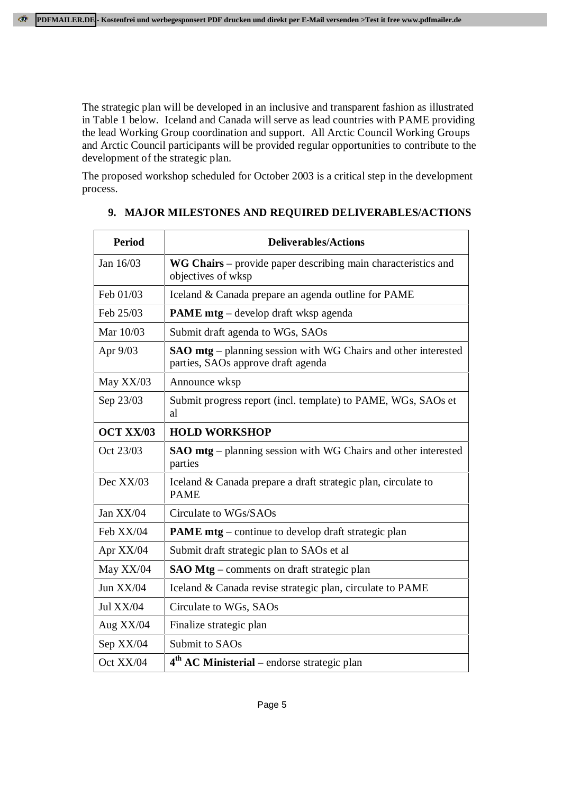The strategic plan will be developed in an inclusive and transparent fashion as illustrated in Table 1 below. Iceland and Canada will serve as lead countries with PAME providing the lead Working Group coordination and support. All Arctic Council Working Groups and Arctic Council participants will be provided regular opportunities to contribute to the development of the strategic plan.

The proposed workshop scheduled for October 2003 is a critical step in the development process.

| <b>Period</b>    | <b>Deliverables/Actions</b>                                                                                 |
|------------------|-------------------------------------------------------------------------------------------------------------|
| Jan 16/03        | WG Chairs – provide paper describing main characteristics and<br>objectives of wksp                         |
| Feb 01/03        | Iceland & Canada prepare an agenda outline for PAME                                                         |
| Feb 25/03        | <b>PAME</b> mtg – develop draft wksp agenda                                                                 |
| Mar 10/03        | Submit draft agenda to WGs, SAOs                                                                            |
| Apr 9/03         | <b>SAO mtg</b> – planning session with WG Chairs and other interested<br>parties, SAOs approve draft agenda |
| May XX/03        | Announce wksp                                                                                               |
| Sep 23/03        | Submit progress report (incl. template) to PAME, WGs, SAOs et<br>al                                         |
| <b>OCT XX/03</b> | <b>HOLD WORKSHOP</b>                                                                                        |
| Oct 23/03        | <b>SAO mtg</b> – planning session with WG Chairs and other interested<br>parties                            |
| Dec XX/03        | Iceland & Canada prepare a draft strategic plan, circulate to<br><b>PAME</b>                                |
| Jan XX/04        | Circulate to WGs/SAOs                                                                                       |
| Feb XX/04        | PAME mtg - continue to develop draft strategic plan                                                         |
| Apr XX/04        | Submit draft strategic plan to SAOs et al                                                                   |
| May XX/04        | <b>SAO Mtg</b> – comments on draft strategic plan                                                           |
| Jun $XX/04$      | Iceland & Canada revise strategic plan, circulate to PAME                                                   |
| Jul XX/04        | Circulate to WGs, SAOs                                                                                      |
| Aug XX/04        | Finalize strategic plan                                                                                     |
| Sep XX/04        | Submit to SAOs                                                                                              |
| Oct XX/04        | $4th$ AC Ministerial – endorse strategic plan                                                               |

# **9. MAJOR MILESTONES AND REQUIRED DELIVERABLES/ACTIONS**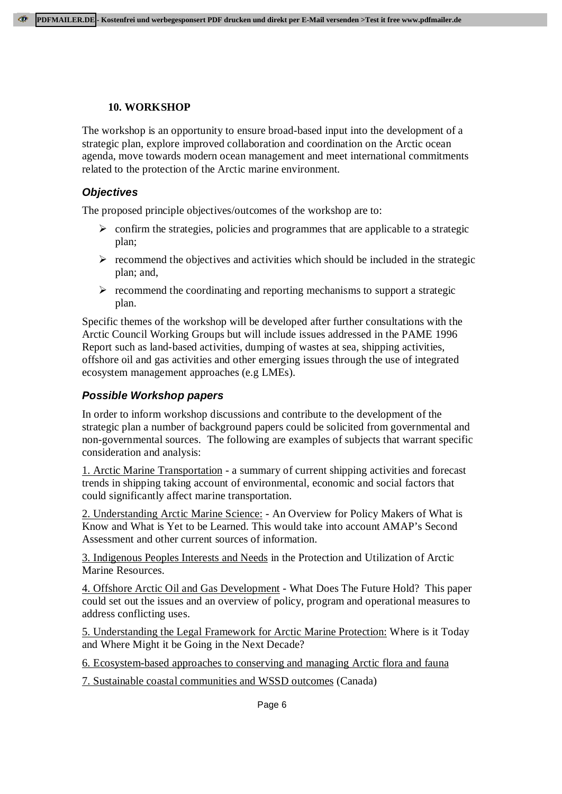### **10. WORKSHOP**

The workshop is an opportunity to ensure broad-based input into the development of a strategic plan, explore improved collaboration and coordination on the Arctic ocean agenda, move towards modern ocean management and meet international commitments related to the protection of the Arctic marine environment.

### **Objectives**

The proposed principle objectives/outcomes of the workshop are to:

- $\triangleright$  confirm the strategies, policies and programmes that are applicable to a strategic plan;
- $\triangleright$  recommend the objectives and activities which should be included in the strategic plan; and,
- $\triangleright$  recommend the coordinating and reporting mechanisms to support a strategic plan.

Specific themes of the workshop will be developed after further consultations with the Arctic Council Working Groups but will include issues addressed in the PAME 1996 Report such as land-based activities, dumping of wastes at sea, shipping activities, offshore oil and gas activities and other emerging issues through the use of integrated ecosystem management approaches (e.g LMEs).

### **Possible Workshop papers**

In order to inform workshop discussions and contribute to the development of the strategic plan a number of background papers could be solicited from governmental and non-governmental sources. The following are examples of subjects that warrant specific consideration and analysis:

1. Arctic Marine Transportation - a summary of current shipping activities and forecast trends in shipping taking account of environmental, economic and social factors that could significantly affect marine transportation.

2. Understanding Arctic Marine Science: - An Overview for Policy Makers of What is Know and What is Yet to be Learned. This would take into account AMAP's Second Assessment and other current sources of information.

3. Indigenous Peoples Interests and Needs in the Protection and Utilization of Arctic Marine Resources.

4. Offshore Arctic Oil and Gas Development - What Does The Future Hold? This paper could set out the issues and an overview of policy, program and operational measures to address conflicting uses.

5. Understanding the Legal Framework for Arctic Marine Protection: Where is it Today and Where Might it be Going in the Next Decade?

6. Ecosystem-based approaches to conserving and managing Arctic flora and fauna

7. Sustainable coastal communities and WSSD outcomes (Canada)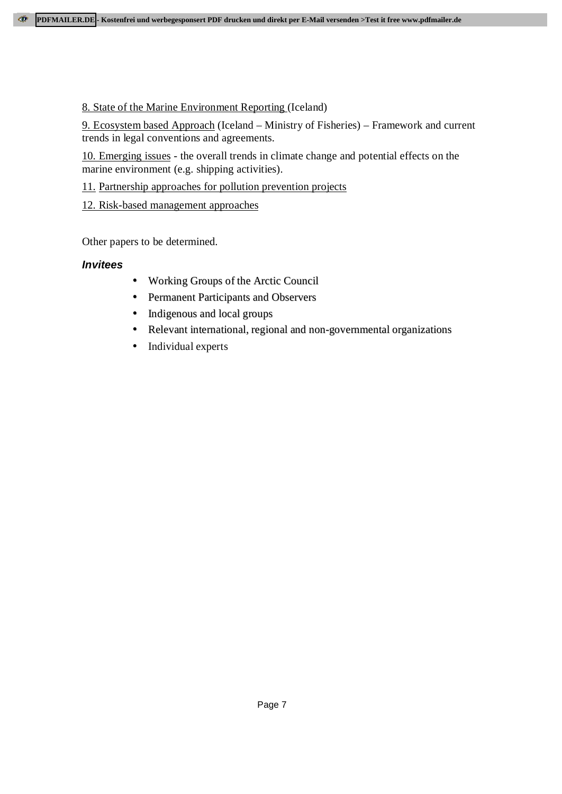## 8. State of the Marine Environment Reporting (Iceland)

9. Ecosystem based Approach (Iceland – Ministry of Fisheries) – Framework and current trends in legal conventions and agreements.

10. Emerging issues - the overall trends in climate change and potential effects on the marine environment (e.g. shipping activities).

11. Partnership approaches for pollution prevention projects

12. Risk-based management approaches

Other papers to be determined.

## **Invitees**

- Working Groups of the Arctic Council
- Permanent Participants and Observers
- Indigenous and local groups
- Relevant international, regional and non-governmental organizations
- Individual experts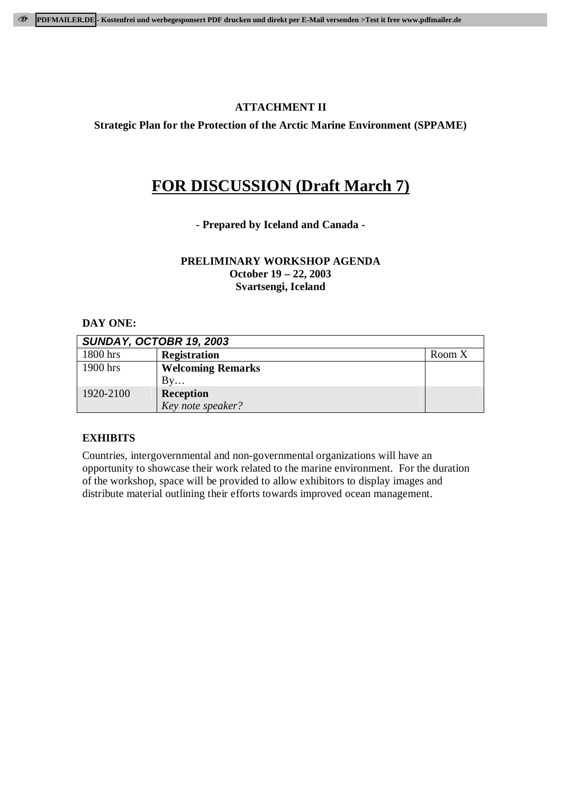### **ATTACHMENT II**

**Strategic Plan for the Protection of the Arctic Marine Environment (SPPAME)**

# **FOR DISCUSSION (Draft March 7)**

#### **- Prepared by Iceland and Canada -**

#### **PRELIMINARY WORKSHOP AGENDA October 19 – 22, 2003 Svartsengi, Iceland**

#### **DAY ONE:**

| <b>SUNDAY, OCTOBR 19, 2003</b> |                          |        |
|--------------------------------|--------------------------|--------|
| 1800 hrs                       | <b>Registration</b>      | Room X |
| 1900 hrs                       | <b>Welcoming Remarks</b> |        |
|                                | By                       |        |
| 1920-2100                      | Reception                |        |
|                                | Key note speaker?        |        |

#### **EXHIBITS**

Countries, intergovernmental and non-governmental organizations will have an opportunity to showcase their work related to the marine environment. For the duration of the workshop, space will be provided to allow exhibitors to display images and distribute material outlining their efforts towards improved ocean management.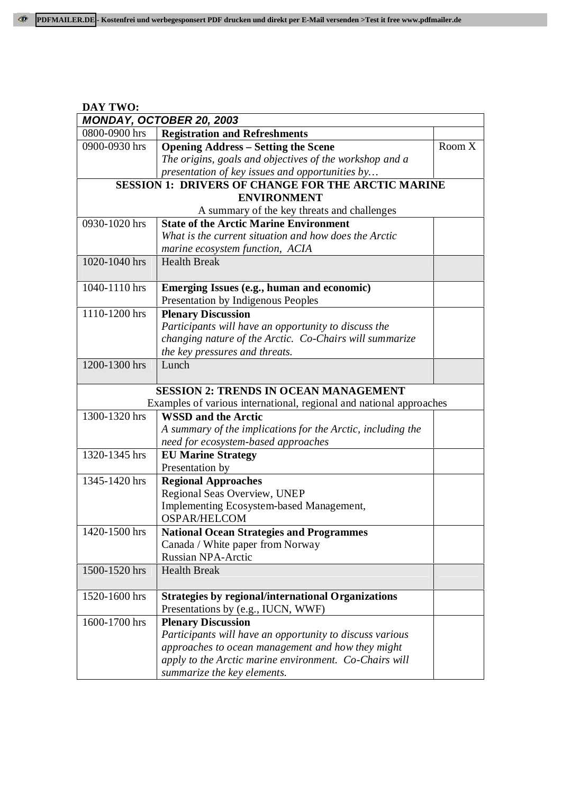| DAY TWO:      |                                                                                                    |        |  |
|---------------|----------------------------------------------------------------------------------------------------|--------|--|
|               | MONDAY, OCTOBER 20, 2003                                                                           |        |  |
| 0800-0900 hrs | <b>Registration and Refreshments</b>                                                               |        |  |
| 0900-0930 hrs | <b>Opening Address - Setting the Scene</b>                                                         | Room X |  |
|               | The origins, goals and objectives of the workshop and a                                            |        |  |
|               | presentation of key issues and opportunities by                                                    |        |  |
|               | <b>SESSION 1: DRIVERS OF CHANGE FOR THE ARCTIC MARINE</b>                                          |        |  |
|               | <b>ENVIRONMENT</b>                                                                                 |        |  |
|               | A summary of the key threats and challenges                                                        |        |  |
| 0930-1020 hrs | <b>State of the Arctic Marine Environment</b>                                                      |        |  |
|               | What is the current situation and how does the Arctic                                              |        |  |
|               | marine ecosystem function, ACIA                                                                    |        |  |
| 1020-1040 hrs | <b>Health Break</b>                                                                                |        |  |
|               |                                                                                                    |        |  |
| 1040-1110 hrs | <b>Emerging Issues (e.g., human and economic)</b>                                                  |        |  |
|               | Presentation by Indigenous Peoples                                                                 |        |  |
| 1110-1200 hrs | <b>Plenary Discussion</b>                                                                          |        |  |
|               | Participants will have an opportunity to discuss the                                               |        |  |
|               | changing nature of the Arctic. Co-Chairs will summarize                                            |        |  |
|               | the key pressures and threats.                                                                     |        |  |
| 1200-1300 hrs | Lunch                                                                                              |        |  |
|               |                                                                                                    |        |  |
|               | <b>SESSION 2: TRENDS IN OCEAN MANAGEMENT</b>                                                       |        |  |
|               | Examples of various international, regional and national approaches                                |        |  |
| 1300-1320 hrs | <b>WSSD and the Arctic</b>                                                                         |        |  |
|               | A summary of the implications for the Arctic, including the<br>need for ecosystem-based approaches |        |  |
| 1320-1345 hrs |                                                                                                    |        |  |
|               | <b>EU Marine Strategy</b><br>Presentation by                                                       |        |  |
| 1345-1420 hrs | <b>Regional Approaches</b>                                                                         |        |  |
|               | Regional Seas Overview, UNEP                                                                       |        |  |
|               | <b>Implementing Ecosystem-based Management,</b>                                                    |        |  |
|               | <b>OSPAR/HELCOM</b>                                                                                |        |  |
| 1420-1500 hrs | <b>National Ocean Strategies and Programmes</b>                                                    |        |  |
|               | Canada / White paper from Norway                                                                   |        |  |
|               | <b>Russian NPA-Arctic</b>                                                                          |        |  |
| 1500-1520 hrs | <b>Health Break</b>                                                                                |        |  |
|               |                                                                                                    |        |  |
| 1520-1600 hrs | <b>Strategies by regional/international Organizations</b>                                          |        |  |
|               | Presentations by (e.g., IUCN, WWF)                                                                 |        |  |
| 1600-1700 hrs | <b>Plenary Discussion</b>                                                                          |        |  |
|               | Participants will have an opportunity to discuss various                                           |        |  |
|               | approaches to ocean management and how they might                                                  |        |  |
|               | apply to the Arctic marine environment. Co-Chairs will                                             |        |  |
|               | summarize the key elements.                                                                        |        |  |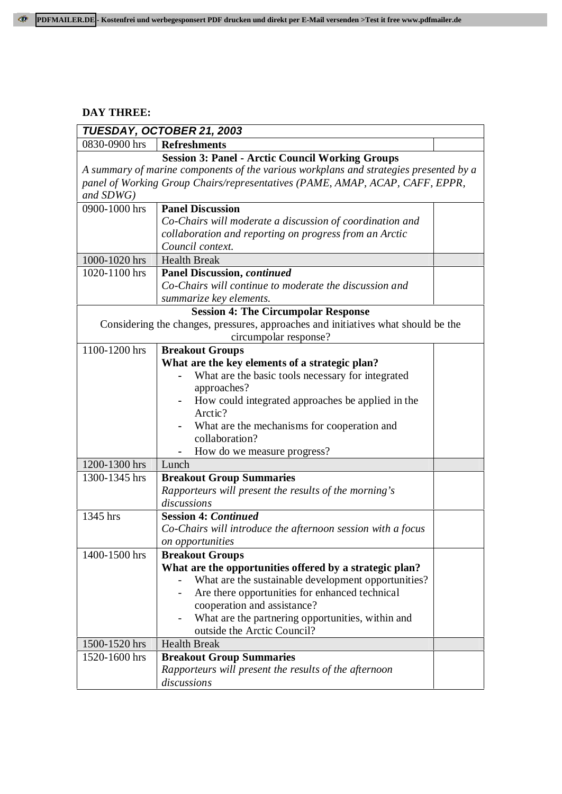### **DAY THREE:**

| TUESDAY, OCTOBER 21, 2003 |                                                                                       |  |
|---------------------------|---------------------------------------------------------------------------------------|--|
| 0830-0900 hrs             | <b>Refreshments</b>                                                                   |  |
|                           | <b>Session 3: Panel - Arctic Council Working Groups</b>                               |  |
|                           | A summary of marine components of the various workplans and strategies presented by a |  |
|                           | panel of Working Group Chairs/representatives (PAME, AMAP, ACAP, CAFF, EPPR,          |  |
| and $SDWG$ )              |                                                                                       |  |
| 0900-1000 hrs             | <b>Panel Discussion</b>                                                               |  |
|                           | Co-Chairs will moderate a discussion of coordination and                              |  |
|                           | collaboration and reporting on progress from an Arctic                                |  |
|                           | Council context.                                                                      |  |
| 1000-1020 hrs             | <b>Health Break</b>                                                                   |  |
| 1020-1100 hrs             | <b>Panel Discussion, continued</b>                                                    |  |
|                           | Co-Chairs will continue to moderate the discussion and                                |  |
|                           | summarize key elements.                                                               |  |
|                           | <b>Session 4: The Circumpolar Response</b>                                            |  |
|                           | Considering the changes, pressures, approaches and initiatives what should be the     |  |
|                           | circumpolar response?                                                                 |  |
| 1100-1200 hrs             | <b>Breakout Groups</b>                                                                |  |
|                           | What are the key elements of a strategic plan?                                        |  |
|                           | What are the basic tools necessary for integrated                                     |  |
|                           | approaches?                                                                           |  |
|                           | How could integrated approaches be applied in the                                     |  |
|                           | Arctic?                                                                               |  |
|                           | What are the mechanisms for cooperation and                                           |  |
|                           | collaboration?                                                                        |  |
|                           | How do we measure progress?                                                           |  |
| 1200-1300 hrs             | Lunch                                                                                 |  |
| 1300-1345 hrs             | <b>Breakout Group Summaries</b>                                                       |  |
|                           | Rapporteurs will present the results of the morning's                                 |  |
|                           | discussions                                                                           |  |
| 1345 hrs                  | <b>Session 4: Continued</b>                                                           |  |
|                           | Co-Chairs will introduce the afternoon session with a focus                           |  |
|                           | on opportunities                                                                      |  |
| 1400-1500 hrs             | <b>Breakout Groups</b>                                                                |  |
|                           | What are the opportunities offered by a strategic plan?                               |  |
|                           | What are the sustainable development opportunities?                                   |  |
|                           | Are there opportunities for enhanced technical                                        |  |
|                           | cooperation and assistance?                                                           |  |
|                           | What are the partnering opportunities, within and                                     |  |
|                           | outside the Arctic Council?                                                           |  |
| 1500-1520 hrs             | <b>Health Break</b>                                                                   |  |
| 1520-1600 hrs             | <b>Breakout Group Summaries</b>                                                       |  |
|                           | Rapporteurs will present the results of the afternoon                                 |  |
|                           | discussions                                                                           |  |